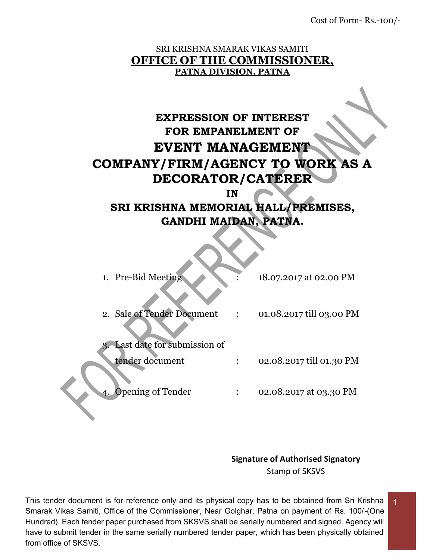Cost of Form- Rs.-100/-

### SRI KRISHNA SMARAK VIKAS SAMITI **OFFICE OF THE COMMISSIONER, PATNA DIVISION, PATNA**

# **EXPRESSION OF INTEREST FOR EMPANELMENT OF EVENT MANAGEMENT COMPANY/FIRM/AGENCY TO WORK AS A DECORATOR/CATERER**

**IN** 

# **SRI KRISHNA MEMORIAL HALL/PREMISES, GANDHI MAIDAN, PATNA.**

| 1. Pre-Bid Meeting          | 18.07.2017 at 02.00 PM   |
|-----------------------------|--------------------------|
| 2. Sale of Tender Document  | 01.08.2017 till 03.00 PM |
| Last date for submission of |                          |
| tender document             | 02.08.2017 till 01.30 PM |
| 4. Opening of Tender        | 02.08.2017 at 03.30 PM   |
|                             |                          |

**Signature of Authorised Signatory** Stamp of SKSVS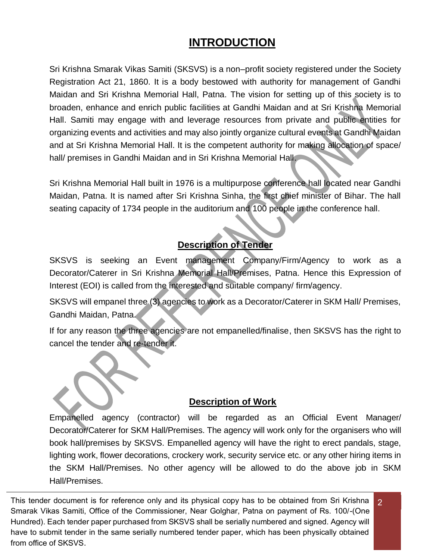# **INTRODUCTION**

Sri Krishna Smarak Vikas Samiti (SKSVS) is a non–profit society registered under the Society Registration Act 21, 1860. It is a body bestowed with authority for management of Gandhi Maidan and Sri Krishna Memorial Hall, Patna. The vision for setting up of this society is to broaden, enhance and enrich public facilities at Gandhi Maidan and at Sri Krishna Memorial Hall. Samiti may engage with and leverage resources from private and public entities for organizing events and activities and may also jointly organize cultural events at Gandhi Maidan and at Sri Krishna Memorial Hall. It is the competent authority for making allocation of space/ hall/ premises in Gandhi Maidan and in Sri Krishna Memorial Hall.

Sri Krishna Memorial Hall built in 1976 is a multipurpose conference hall located near Gandhi Maidan, Patna. It is named after Sri Krishna Sinha, the first chief minister of Bihar. The hall seating capacity of 1734 people in the auditorium and 100 people in the conference hall.

## **Description of Tender**

SKSVS is seeking an Event management Company/Firm/Agency to work as a Decorator/Caterer in Sri Krishna Memorial Hall/Premises, Patna. Hence this Expression of Interest (EOI) is called from the interested and suitable company/ firm/agency.

SKSVS will empanel three (3) agencies to work as a Decorator/Caterer in SKM Hall/ Premises, Gandhi Maidan, Patna.

If for any reason the three agencies are not empanelled/finalise, then SKSVS has the right to cancel the tender and re-tender it.

#### **Description of Work**

Empanelled agency (contractor) will be regarded as an Official Event Manager/ Decorator/Caterer for SKM Hall/Premises. The agency will work only for the organisers who will book hall/premises by SKSVS. Empanelled agency will have the right to erect pandals, stage, lighting work, flower decorations, crockery work, security service etc. or any other hiring items in the SKM Hall/Premises. No other agency will be allowed to do the above job in SKM Hall/Premises.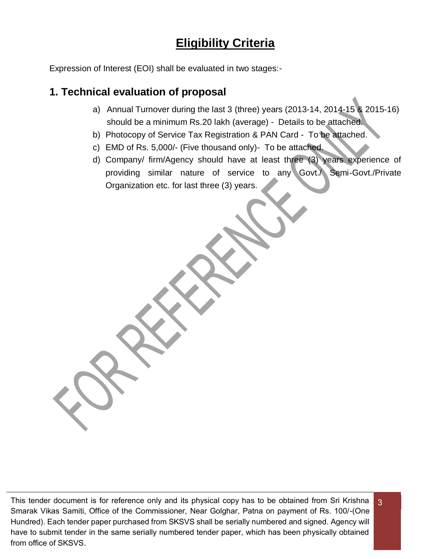# **Eligibility Criteria**

Expression of Interest (EOI) shall be evaluated in two stages:-

## **1. Technical evaluation of proposal**

- a) Annual Turnover during the last 3 (three) years (2013-14, 2014-15 & 2015-16) should be a minimum Rs.20 lakh (average) - Details to be attached.
- b) Photocopy of Service Tax Registration & PAN Card To be attached.
- c) EMD of Rs. 5,000/- (Five thousand only)- To be attached.
- d) Company/ firm/Agency should have at least three (3) years experience of providing similar nature of service to any Govt./ Semi-Govt./Private Organization etc. for last three (3) years.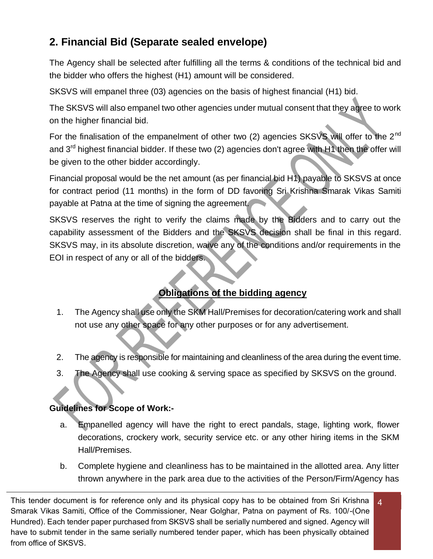# **2. Financial Bid (Separate sealed envelope)**

The Agency shall be selected after fulfilling all the terms & conditions of the technical bid and the bidder who offers the highest (H1) amount will be considered.

SKSVS will empanel three (03) agencies on the basis of highest financial (H1) bid.

The SKSVS will also empanel two other agencies under mutual consent that they agree to work on the higher financial bid.

For the finalisation of the empanelment of other two (2) agencies SKSVS will offer to the 2<sup>nd</sup> and 3<sup>rd</sup> highest financial bidder. If these two (2) agencies don't agree with H1 then the offer will be given to the other bidder accordingly.

Financial proposal would be the net amount (as per financial bid H1) payable to SKSVS at once for contract period (11 months) in the form of DD favoring Sri Krishna Smarak Vikas Samiti payable at Patna at the time of signing the agreement.

SKSVS reserves the right to verify the claims made by the Bidders and to carry out the capability assessment of the Bidders and the SKSVS decision shall be final in this regard. SKSVS may, in its absolute discretion, waive any of the conditions and/or requirements in the EOI in respect of any or all of the bidders.

## **Obligations of the bidding agency**

- 1. The Agency shall use only the SKM Hall/Premises for decoration/catering work and shall not use any other space for any other purposes or for any advertisement.
- 2. The agency is responsible for maintaining and cleanliness of the area during the event time.
- 3. The Agency shall use cooking & serving space as specified by SKSVS on the ground.

## **Guidelines for Scope of Work:-**

- a. Empanelled agency will have the right to erect pandals, stage, lighting work, flower decorations, crockery work, security service etc. or any other hiring items in the SKM Hall/Premises.
- b. Complete hygiene and cleanliness has to be maintained in the allotted area. Any litter thrown anywhere in the park area due to the activities of the Person/Firm/Agency has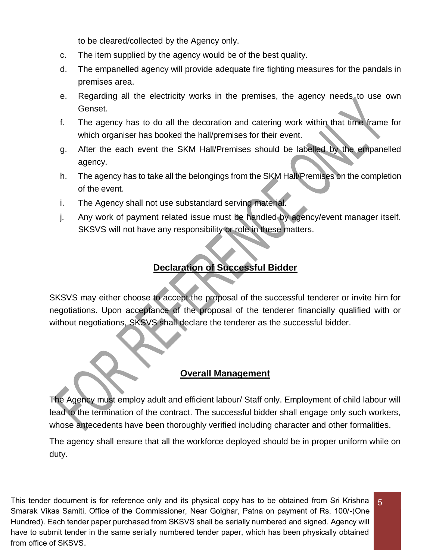to be cleared/collected by the Agency only.

- c. The item supplied by the agency would be of the best quality.
- d. The empanelled agency will provide adequate fire fighting measures for the pandals in premises area.
- e. Regarding all the electricity works in the premises, the agency needs to use own Genset.
- f. The agency has to do all the decoration and catering work within that time frame for which organiser has booked the hall/premises for their event.
- g. After the each event the SKM Hall/Premises should be labelled by the empanelled agency.
- h. The agency has to take all the belongings from the SKM Hall/Premises on the completion of the event.
- i. The Agency shall not use substandard serving material.
- j. Any work of payment related issue must be handled by agency/event manager itself. SKSVS will not have any responsibility or role in these matters.

## **Declaration of Successful Bidder**

SKSVS may either choose to accept the proposal of the successful tenderer or invite him for negotiations. Upon acceptance of the proposal of the tenderer financially qualified with or without negotiations, SKSVS shall declare the tenderer as the successful bidder.

#### **Overall Management**

The Agency must employ adult and efficient labour/ Staff only. Employment of child labour will lead to the termination of the contract. The successful bidder shall engage only such workers, whose antecedents have been thoroughly verified including character and other formalities.

The agency shall ensure that all the workforce deployed should be in proper uniform while on duty.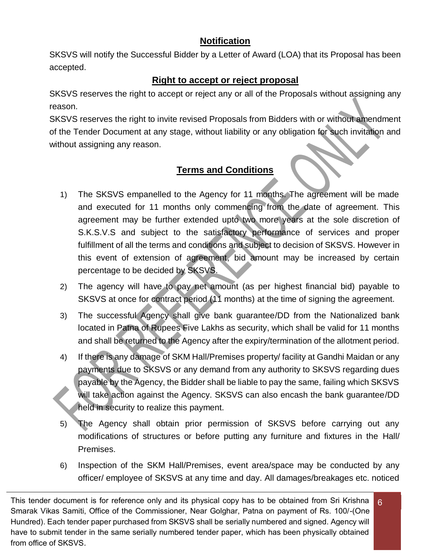## **Notification**

SKSVS will notify the Successful Bidder by a Letter of Award (LOA) that its Proposal has been accepted.

## **Right to accept or reject proposal**

SKSVS reserves the right to accept or reject any or all of the Proposals without assigning any reason.

SKSVS reserves the right to invite revised Proposals from Bidders with or without amendment of the Tender Document at any stage, without liability or any obligation for such invitation and without assigning any reason.

## **Terms and Conditions**

- 1) The SKSVS empanelled to the Agency for 11 months. The agreement will be made and executed for 11 months only commencing from the date of agreement. This agreement may be further extended upto two more years at the sole discretion of S.K.S.V.S and subject to the satisfactory performance of services and proper fulfillment of all the terms and conditions and subject to decision of SKSVS. However in this event of extension of agreement, bid amount may be increased by certain percentage to be decided by SKSVS.
- 2) The agency will have to pay net amount (as per highest financial bid) payable to SKSVS at once for contract period (11 months) at the time of signing the agreement.
- 3) The successful Agency shall give bank guarantee/DD from the Nationalized bank located in Patna of Rupees Five Lakhs as security, which shall be valid for 11 months and shall be returned to the Agency after the expiry/termination of the allotment period.
- 4) If there is any damage of SKM Hall/Premises property/ facility at Gandhi Maidan or any payments due to SKSVS or any demand from any authority to SKSVS regarding dues payable by the Agency, the Bidder shall be liable to pay the same, failing which SKSVS will take action against the Agency. SKSVS can also encash the bank guarantee/DD held in security to realize this payment.
- 5) The Agency shall obtain prior permission of SKSVS before carrying out any modifications of structures or before putting any furniture and fixtures in the Hall/ Premises.
- 6) Inspection of the SKM Hall/Premises, event area/space may be conducted by any officer/ employee of SKSVS at any time and day. All damages/breakages etc. noticed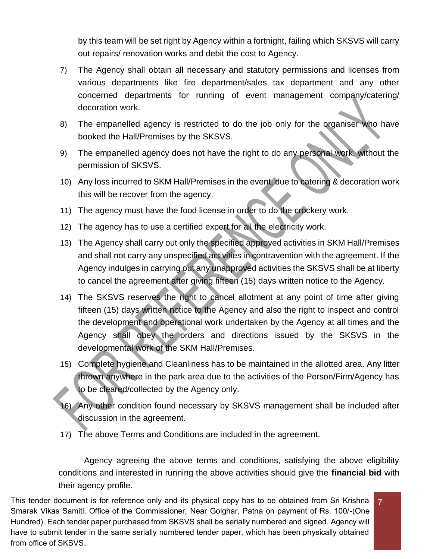by this team will be set right by Agency within a fortnight, failing which SKSVS will carry out repairs/ renovation works and debit the cost to Agency.

- 7) The Agency shall obtain all necessary and statutory permissions and licenses from various departments like fire department/sales tax department and any other concerned departments for running of event management company/catering/ decoration work.
- 8) The empanelled agency is restricted to do the job only for the organiser who have booked the Hall/Premises by the SKSVS.
- 9) The empanelled agency does not have the right to do any personal work, without the permission of SKSVS.
- 10) Any loss incurred to SKM Hall/Premises in the event, due to catering & decoration work this will be recover from the agency.
- 11) The agency must have the food license in order to do the crockery work.
- 12) The agency has to use a certified expert for all the electricity work.
- 13) The Agency shall carry out only the specified approved activities in SKM Hall/Premises and shall not carry any unspecified activities in contravention with the agreement. If the Agency indulges in carrying out any unapproved activities the SKSVS shall be at liberty to cancel the agreement after giving fifteen (15) days written notice to the Agency.
- 14) The SKSVS reserves the right to cancel allotment at any point of time after giving fifteen (15) days written notice to the Agency and also the right to inspect and control the development and operational work undertaken by the Agency at all times and the Agency shall obey the orders and directions issued by the SKSVS in the developmental work of the SKM Hall/Premises.
- 15) Complete hygiene and Cleanliness has to be maintained in the allotted area. Any litter thrown anywhere in the park area due to the activities of the Person/Firm/Agency has to be cleared/collected by the Agency only.
- 16) Any other condition found necessary by SKSVS management shall be included after discussion in the agreement.
- 17) The above Terms and Conditions are included in the agreement.

Agency agreeing the above terms and conditions, satisfying the above eligibility conditions and interested in running the above activities should give the **financial bid** with their agency profile.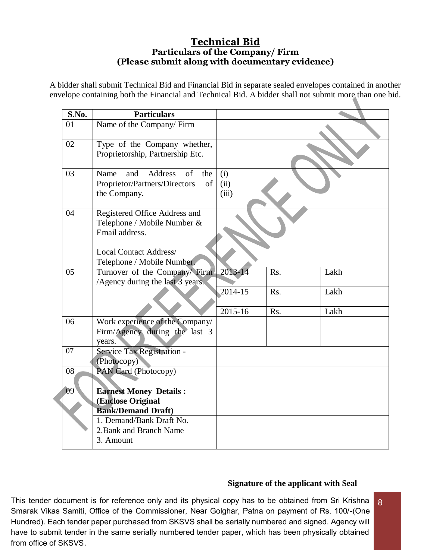#### **Technical Bid Particulars of the Company/ Firm (Please submit along with documentary evidence)**

A bidder shall submit Technical Bid and Financial Bid in separate sealed envelopes contained in another envelope containing both the Financial and Technical Bid. A bidder shall not submit more than one bid.

| S.No.           | <b>Particulars</b>                                                                                                                            |                      |            |              |
|-----------------|-----------------------------------------------------------------------------------------------------------------------------------------------|----------------------|------------|--------------|
| 01              | Name of the Company/Firm                                                                                                                      |                      |            |              |
| 02              | Type of the Company whether,<br>Proprietorship, Partnership Etc.                                                                              |                      |            |              |
| 03              | Address<br>$\sigma$ f<br>Name<br>and<br>the<br>Proprietor/Partners/Directors<br>of<br>the Company.                                            | (i)<br>(ii)<br>(iii) |            |              |
| 04              | Registered Office Address and<br>Telephone / Mobile Number &<br>Email address.<br><b>Local Contact Address/</b><br>Telephone / Mobile Number. |                      |            |              |
| 05              | Turnover of the Company Firm<br>/Agency during the last 3 years.                                                                              | 2013-14<br>2014-15   | Rs.<br>Rs. | Lakh<br>Lakh |
|                 |                                                                                                                                               | 2015-16              | Rs.        | Lakh         |
| 06              | Work experience of the Company/<br>Firm/Agency during the last 3<br>years.                                                                    |                      |            |              |
| $\overline{07}$ | Service Tax Registration -<br>(Photocopy)                                                                                                     |                      |            |              |
| 08              | PAN Card (Photocopy)                                                                                                                          |                      |            |              |
| 09              | <b>Earnest Money Details:</b>                                                                                                                 |                      |            |              |
|                 | (Enclose Original<br><b>Bank/Demand Draft)</b><br>1. Demand/Bank Draft No.                                                                    |                      |            |              |
|                 | 2. Bank and Branch Name<br>3. Amount                                                                                                          |                      |            |              |

#### **Signature of the applicant with Seal**